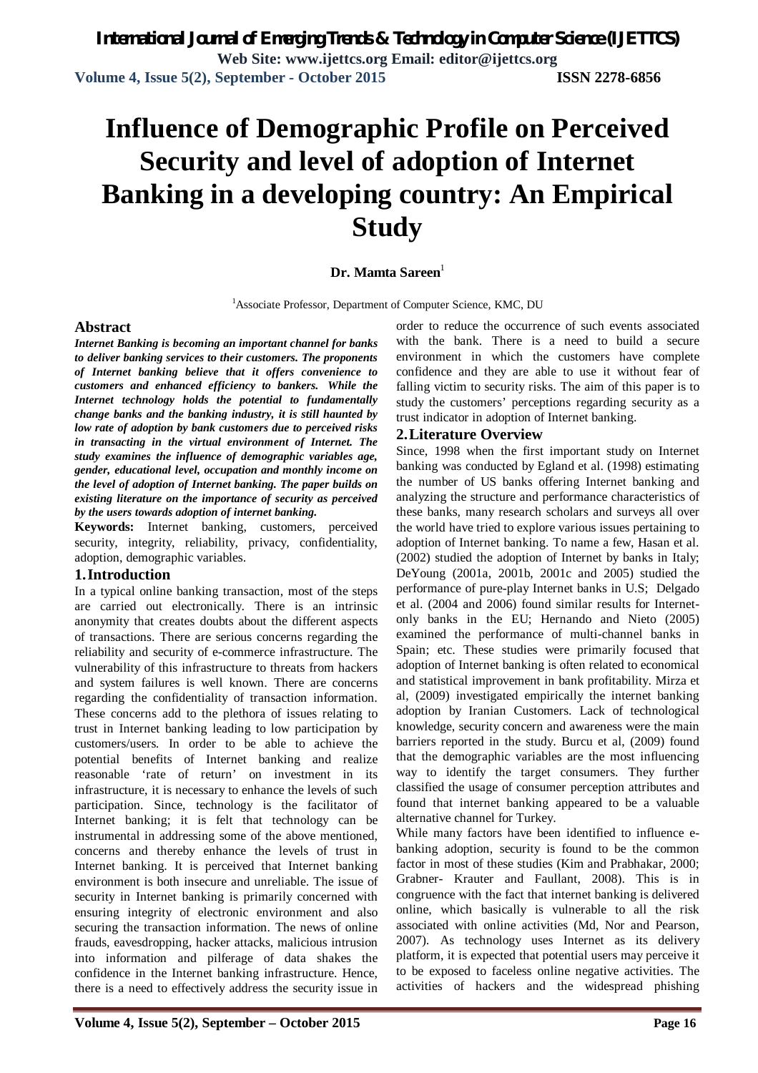*International Journal of Emerging Trends & Technology in Computer Science (IJETTCS)* **Web Site: www.ijettcs.org Email: editor@ijettcs.org Volume 4, Issue 5(2), September - October 2015 ISSN 2278-6856**

# **Influence of Demographic Profile on Perceived Security and level of adoption of Internet Banking in a developing country: An Empirical Study**

# **Dr. Mamta Sareen**<sup>1</sup>

<sup>1</sup>Associate Professor, Department of Computer Science, KMC, DU

# **Abstract**

*Internet Banking is becoming an important channel for banks to deliver banking services to their customers. The proponents of Internet banking believe that it offers convenience to customers and enhanced efficiency to bankers. While the Internet technology holds the potential to fundamentally change banks and the banking industry, it is still haunted by low rate of adoption by bank customers due to perceived risks in transacting in the virtual environment of Internet. The study examines the influence of demographic variables age, gender, educational level, occupation and monthly income on the level of adoption of Internet banking. The paper builds on existing literature on the importance of security as perceived by the users towards adoption of internet banking.* 

**Keywords:** Internet banking, customers, perceived security, integrity, reliability, privacy, confidentiality, adoption, demographic variables.

## **1.Introduction**

In a typical online banking transaction, most of the steps are carried out electronically. There is an intrinsic anonymity that creates doubts about the different aspects of transactions. There are serious concerns regarding the reliability and security of e-commerce infrastructure. The vulnerability of this infrastructure to threats from hackers and system failures is well known. There are concerns regarding the confidentiality of transaction information. These concerns add to the plethora of issues relating to trust in Internet banking leading to low participation by customers/users*.* In order to be able to achieve the potential benefits of Internet banking and realize reasonable 'rate of return' on investment in its infrastructure, it is necessary to enhance the levels of such participation. Since, technology is the facilitator of Internet banking; it is felt that technology can be instrumental in addressing some of the above mentioned, concerns and thereby enhance the levels of trust in Internet banking. It is perceived that Internet banking environment is both insecure and unreliable. The issue of security in Internet banking is primarily concerned with ensuring integrity of electronic environment and also securing the transaction information. The news of online frauds, eavesdropping, hacker attacks, malicious intrusion into information and pilferage of data shakes the confidence in the Internet banking infrastructure. Hence, there is a need to effectively address the security issue in

order to reduce the occurrence of such events associated with the bank. There is a need to build a secure environment in which the customers have complete confidence and they are able to use it without fear of falling victim to security risks. The aim of this paper is to study the customers' perceptions regarding security as a trust indicator in adoption of Internet banking.

# **2.Literature Overview**

Since, 1998 when the first important study on Internet banking was conducted by Egland et al. (1998) estimating the number of US banks offering Internet banking and analyzing the structure and performance characteristics of these banks, many research scholars and surveys all over the world have tried to explore various issues pertaining to adoption of Internet banking. To name a few, Hasan et al. (2002) studied the adoption of Internet by banks in Italy; DeYoung (2001a, 2001b, 2001c and 2005) studied the performance of pure-play Internet banks in U.S; Delgado et al. (2004 and 2006) found similar results for Internetonly banks in the EU; Hernando and Nieto (2005) examined the performance of multi-channel banks in Spain; etc. These studies were primarily focused that adoption of Internet banking is often related to economical and statistical improvement in bank profitability. Mirza et al, (2009) investigated empirically the internet banking adoption by Iranian Customers. Lack of technological knowledge, security concern and awareness were the main barriers reported in the study. Burcu et al, (2009) found that the demographic variables are the most influencing way to identify the target consumers. They further classified the usage of consumer perception attributes and found that internet banking appeared to be a valuable alternative channel for Turkey.

While many factors have been identified to influence ebanking adoption, security is found to be the common factor in most of these studies (Kim and Prabhakar, 2000; Grabner- Krauter and Faullant, 2008). This is in congruence with the fact that internet banking is delivered online, which basically is vulnerable to all the risk associated with online activities (Md, Nor and Pearson, 2007). As technology uses Internet as its delivery platform, it is expected that potential users may perceive it to be exposed to faceless online negative activities. The activities of hackers and the widespread phishing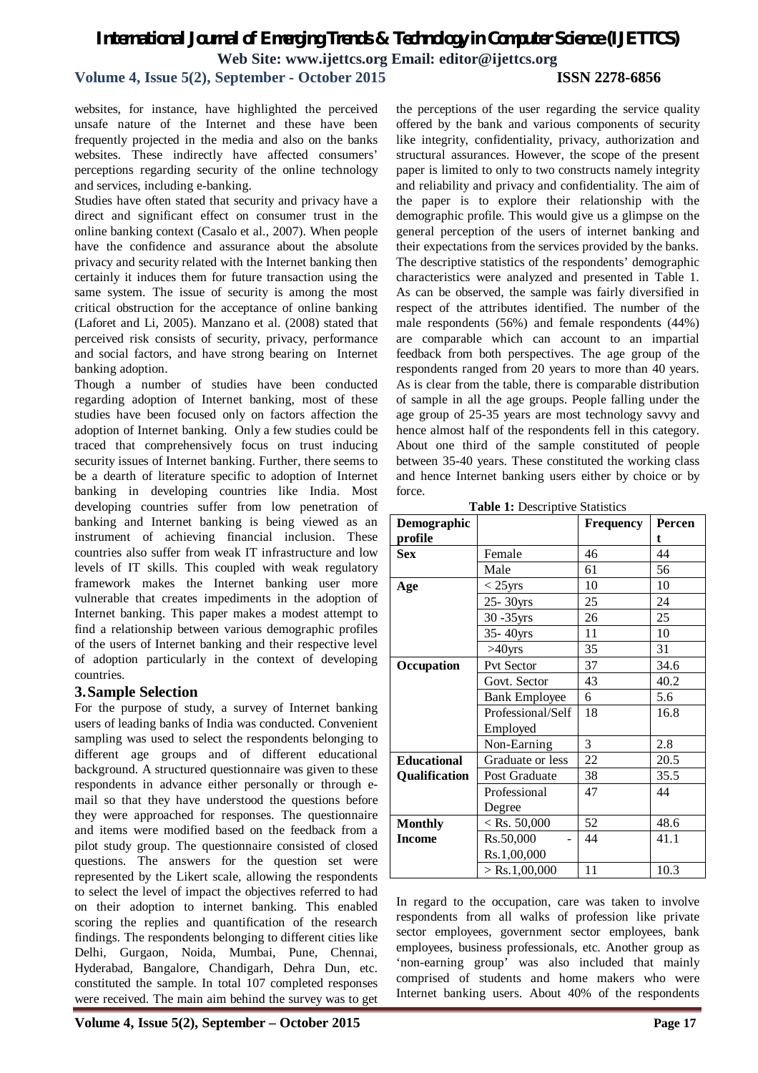# **Volume 4, Issue 5(2), September - October 2015 ISSN 2278-6856**

websites, for instance, have highlighted the perceived unsafe nature of the Internet and these have been frequently projected in the media and also on the banks websites. These indirectly have affected consumers' perceptions regarding security of the online technology and services, including e-banking.

Studies have often stated that security and privacy have a direct and significant effect on consumer trust in the online banking context (Casalo et al., 2007). When people have the confidence and assurance about the absolute privacy and security related with the Internet banking then certainly it induces them for future transaction using the same system. The issue of security is among the most critical obstruction for the acceptance of online banking (Laforet and Li, 2005). Manzano et al. (2008) stated that perceived risk consists of security, privacy, performance and social factors, and have strong bearing on Internet banking adoption.

Though a number of studies have been conducted regarding adoption of Internet banking, most of these studies have been focused only on factors affection the adoption of Internet banking. Only a few studies could be traced that comprehensively focus on trust inducing security issues of Internet banking. Further, there seems to be a dearth of literature specific to adoption of Internet banking in developing countries like India. Most developing countries suffer from low penetration of banking and Internet banking is being viewed as an instrument of achieving financial inclusion. These countries also suffer from weak IT infrastructure and low levels of IT skills. This coupled with weak regulatory framework makes the Internet banking user more vulnerable that creates impediments in the adoption of Internet banking. This paper makes a modest attempt to find a relationship between various demographic profiles of the users of Internet banking and their respective level of adoption particularly in the context of developing countries.

# **3.Sample Selection**

For the purpose of study, a survey of Internet banking users of leading banks of India was conducted. Convenient sampling was used to select the respondents belonging to different age groups and of different educational background. A structured questionnaire was given to these respondents in advance either personally or through email so that they have understood the questions before they were approached for responses. The questionnaire and items were modified based on the feedback from a pilot study group. The questionnaire consisted of closed questions. The answers for the question set were represented by the Likert scale, allowing the respondents to select the level of impact the objectives referred to had on their adoption to internet banking. This enabled scoring the replies and quantification of the research findings. The respondents belonging to different cities like Delhi, Gurgaon, Noida, Mumbai, Pune, Chennai, Hyderabad, Bangalore, Chandigarh, Dehra Dun, etc. constituted the sample. In total 107 completed responses were received. The main aim behind the survey was to get

the perceptions of the user regarding the service quality offered by the bank and various components of security like integrity, confidentiality, privacy, authorization and structural assurances. However, the scope of the present paper is limited to only to two constructs namely integrity and reliability and privacy and confidentiality. The aim of the paper is to explore their relationship with the demographic profile. This would give us a glimpse on the general perception of the users of internet banking and their expectations from the services provided by the banks. The descriptive statistics of the respondents' demographic characteristics were analyzed and presented in Table 1. As can be observed, the sample was fairly diversified in respect of the attributes identified. The number of the male respondents (56%) and female respondents (44%) are comparable which can account to an impartial feedback from both perspectives. The age group of the respondents ranged from 20 years to more than 40 years. As is clear from the table, there is comparable distribution of sample in all the age groups. People falling under the age group of 25-35 years are most technology savvy and hence almost half of the respondents fell in this category. About one third of the sample constituted of people between 35-40 years. These constituted the working class and hence Internet banking users either by choice or by force.

**Table 1:** Descriptive Statistics

| Demographic        |                      | <b>Frequency</b> | Percen |
|--------------------|----------------------|------------------|--------|
| profile            |                      |                  | t.     |
| <b>Sex</b>         | Female               | 46               | 44     |
|                    | Male                 | 61               | 56     |
| Age                | $<$ 25yrs            | 10               | 10     |
|                    | 25-30yrs             | 25               | 24     |
|                    | 30 - 35 yrs          | 26               | 25     |
|                    | 35-40yrs             | 11               | 10     |
|                    | $>40$ yrs            | 35               | 31     |
| Occupation         | Pvt Sector           | 37               | 34.6   |
|                    | Govt. Sector         | 43               | 40.2   |
|                    | <b>Bank Employee</b> | 6                | 5.6    |
|                    | Professional/Self    | 18               | 16.8   |
|                    | Employed             |                  |        |
|                    | Non-Earning          | 3                | 2.8    |
| <b>Educational</b> | Graduate or less     | 22               | 20.5   |
| Qualification      | Post Graduate        | 38               | 35.5   |
|                    | Professional         | 47               | 44     |
|                    | Degree               |                  |        |
| <b>Monthly</b>     | $<$ Rs. 50,000       | 52               | 48.6   |
| <b>Income</b>      | Rs.50,000            | 44               | 41.1   |
|                    | Rs.1,00,000          |                  |        |
|                    | $>$ Rs.1,00,000      | 11               | 10.3   |

In regard to the occupation, care was taken to involve respondents from all walks of profession like private sector employees, government sector employees, bank employees, business professionals, etc. Another group as 'non-earning group' was also included that mainly comprised of students and home makers who were Internet banking users. About 40% of the respondents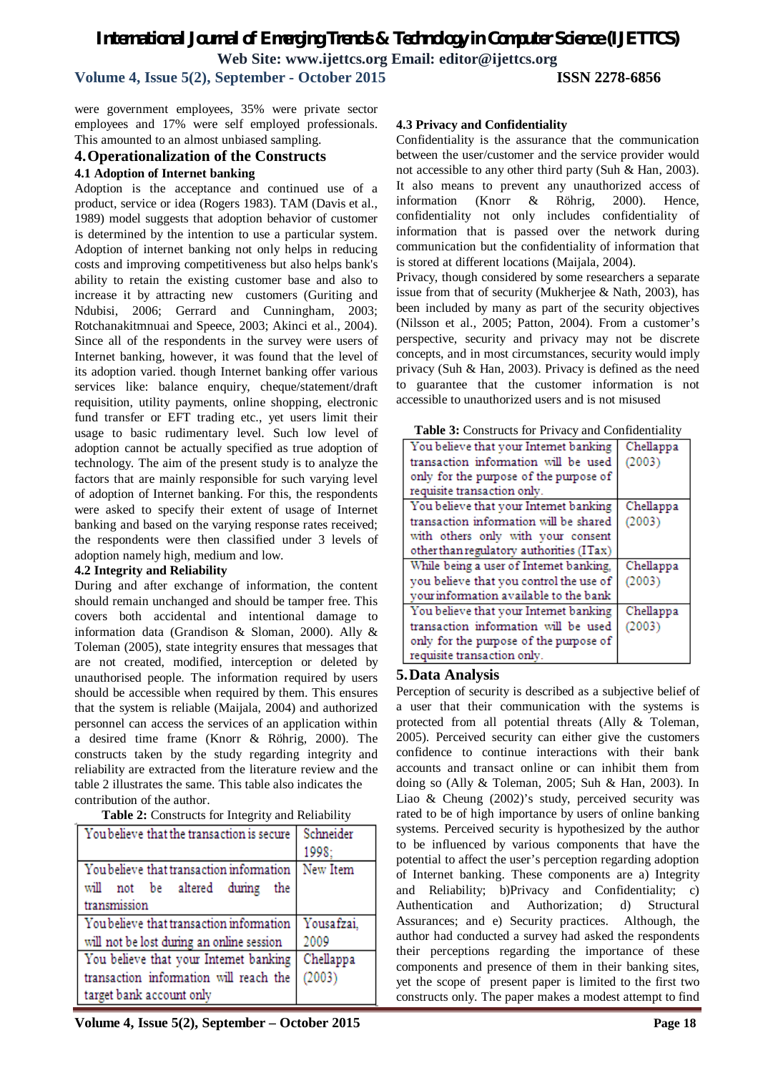*International Journal of Emerging Trends & Technology in Computer Science (IJETTCS)*

**Web Site: www.ijettcs.org Email: editor@ijettcs.org** 

**Volume 4, Issue 5(2), September - October 2015 ISSN 2278-6856**

were government employees, 35% were private sector employees and 17% were self employed professionals. This amounted to an almost unbiased sampling.

# **4.Operationalization of the Constructs**

#### **4.1 Adoption of Internet banking**

Adoption is the acceptance and continued use of a product, service or idea (Rogers 1983). TAM (Davis et al., 1989) model suggests that adoption behavior of customer is determined by the intention to use a particular system. Adoption of internet banking not only helps in reducing costs and improving competitiveness but also helps bank's ability to retain the existing customer base and also to increase it by attracting new customers (Guriting and Ndubisi, 2006; Gerrard and Cunningham, 2003; Rotchanakitmnuai and Speece, 2003; Akinci et al., 2004). Since all of the respondents in the survey were users of Internet banking, however, it was found that the level of its adoption varied. though Internet banking offer various services like: balance enquiry, cheque/statement/draft requisition, utility payments, online shopping, electronic fund transfer or EFT trading etc., yet users limit their usage to basic rudimentary level. Such low level of adoption cannot be actually specified as true adoption of technology. The aim of the present study is to analyze the factors that are mainly responsible for such varying level of adoption of Internet banking. For this, the respondents were asked to specify their extent of usage of Internet banking and based on the varying response rates received; the respondents were then classified under 3 levels of adoption namely high, medium and low.

## **4.2 Integrity and Reliability**

During and after exchange of information, the content should remain unchanged and should be tamper free. This covers both accidental and intentional damage to information data (Grandison & Sloman, 2000). Ally & Toleman (2005), state integrity ensures that messages that are not created, modified, interception or deleted by unauthorised people. The information required by users should be accessible when required by them. This ensures that the system is reliable (Maijala, 2004) and authorized personnel can access the services of an application within a desired time frame (Knorr & Röhrig, 2000). The constructs taken by the study regarding integrity and reliability are extracted from the literature review and the table 2 illustrates the same. This table also indicates the contribution of the author.

|  | Table 2: Constructs for Integrity and Reliability |  |  |  |  |
|--|---------------------------------------------------|--|--|--|--|
|--|---------------------------------------------------|--|--|--|--|

| You believe that the transaction is secure | Schneider  |
|--------------------------------------------|------------|
|                                            | 1998:      |
| You believe that transaction information   | New Item   |
| will not be altered during<br>the          |            |
| transmission                               |            |
| You believe that transaction information   | Yousafzai, |
| will not be lost during an online session  | 2009       |
| You believe that your Internet banking     | Chellappa  |
| transaction information will reach the     | (2003)     |
| target bank account only                   |            |

#### **4.3 Privacy and Confidentiality**

Confidentiality is the assurance that the communication between the user/customer and the service provider would not accessible to any other third party (Suh & Han, 2003). It also means to prevent any unauthorized access of information (Knorr & Röhrig, 2000). Hence, confidentiality not only includes confidentiality of information that is passed over the network during communication but the confidentiality of information that is stored at different locations (Maijala, 2004).

Privacy, though considered by some researchers a separate issue from that of security (Mukherjee & Nath, 2003), has been included by many as part of the security objectives (Nilsson et al., 2005; Patton, 2004). From a customer's perspective, security and privacy may not be discrete concepts, and in most circumstances, security would imply privacy (Suh & Han, 2003). Privacy is defined as the need to guarantee that the customer information is not accessible to unauthorized users and is not misused

|  |  |  | Table 3: Constructs for Privacy and Confidentiality |
|--|--|--|-----------------------------------------------------|
|--|--|--|-----------------------------------------------------|

| You believe that your Internet banking   | Chellappa |
|------------------------------------------|-----------|
| transaction information will be used     | (2003)    |
| only for the purpose of the purpose of   |           |
| requisite transaction only.              |           |
| You believe that your Internet banking   | Chellappa |
| transaction information will be shared   | (2003)    |
| with others only with your consent       |           |
| other than regulatory authorities (ITax) |           |
| While being a user of Internet banking,  | Chellappa |
| you believe that you control the use of  | (2003)    |
| your information available to the bank   |           |
| You believe that your Internet banking   | Chellappa |
| transaction information will be used     | (2003)    |
| only for the purpose of the purpose of   |           |
| requisite transaction only.              |           |

## **5.Data Analysis**

Perception of security is described as a subjective belief of a user that their communication with the systems is protected from all potential threats (Ally & Toleman, 2005). Perceived security can either give the customers confidence to continue interactions with their bank accounts and transact online or can inhibit them from doing so (Ally & Toleman, 2005; Suh & Han, 2003). In Liao & Cheung (2002)'s study, perceived security was rated to be of high importance by users of online banking systems. Perceived security is hypothesized by the author to be influenced by various components that have the potential to affect the user's perception regarding adoption of Internet banking. These components are a) Integrity and Reliability; b)Privacy and Confidentiality; c) Authentication and Authorization; d) Structural Assurances; and e) Security practices. Although, the author had conducted a survey had asked the respondents their perceptions regarding the importance of these components and presence of them in their banking sites, yet the scope of present paper is limited to the first two constructs only. The paper makes a modest attempt to find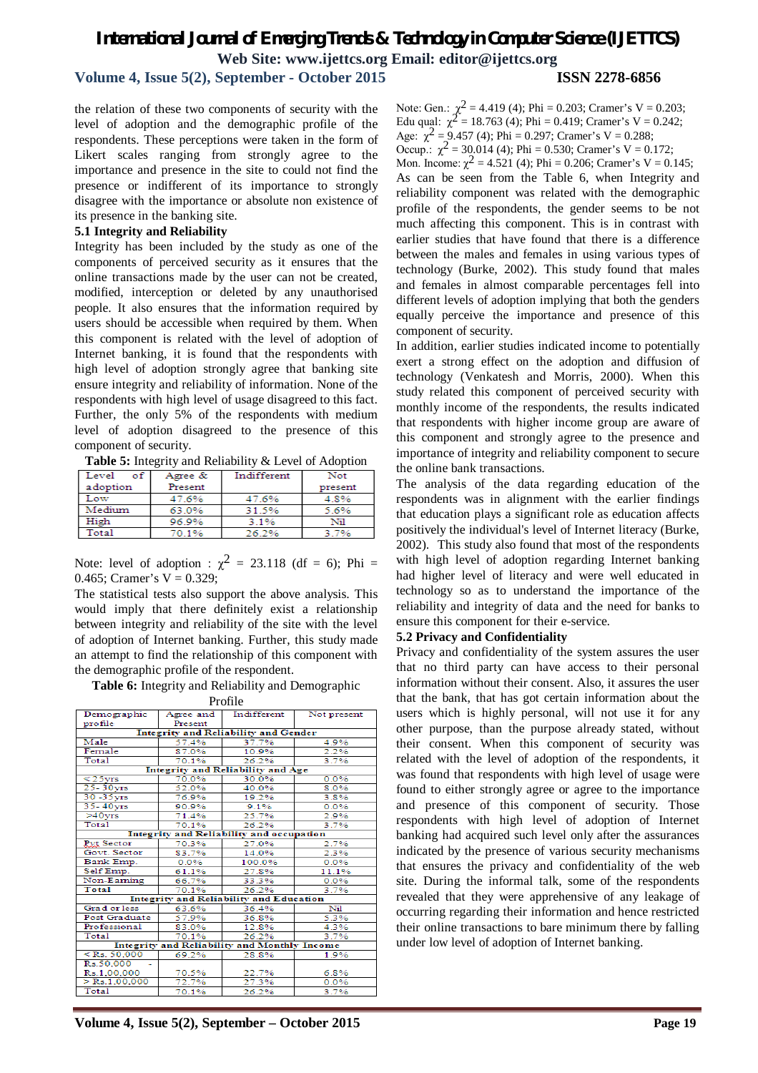**Volume 4, Issue 5(2), September - October 2015 ISSN 2278-6856**

the relation of these two components of security with the level of adoption and the demographic profile of the respondents. These perceptions were taken in the form of Likert scales ranging from strongly agree to the importance and presence in the site to could not find the presence or indifferent of its importance to strongly disagree with the importance or absolute non existence of its presence in the banking site.

#### **5.1 Integrity and Reliability**

Integrity has been included by the study as one of the components of perceived security as it ensures that the online transactions made by the user can not be created, modified, interception or deleted by any unauthorised people. It also ensures that the information required by users should be accessible when required by them. When this component is related with the level of adoption of Internet banking, it is found that the respondents with high level of adoption strongly agree that banking site ensure integrity and reliability of information. None of the respondents with high level of usage disagreed to this fact. Further, the only 5% of the respondents with medium level of adoption disagreed to the presence of this component of security.

**Table 5:** Integrity and Reliability & Level of Adoption

| Level<br>of | Agree & | Indifferent | Not     |
|-------------|---------|-------------|---------|
| adoption    | Present |             | present |
| Low         | 47.6%   | 47.6%       | 4.8%    |
| Medium      | 63.0%   | 31.5%       | 5.6%    |
| High        | 96.9%   | 3.1%        | Nil     |
| Total       | 70 1%   | 26.2%       | 3.7%    |

Note: level of adoption :  $\chi^2 = 23.118$  (df = 6); Phi = 0.465; Cramer's  $V = 0.329$ ;

The statistical tests also support the above analysis. This would imply that there definitely exist a relationship between integrity and reliability of the site with the level of adoption of Internet banking. Further, this study made an attempt to find the relationship of this component with the demographic profile of the respondent.

**Table 6:** Integrity and Reliability and Demographic

| Demographic<br>Indifferent<br>Not present<br>Agree and<br>profile<br>Present<br><b>Integrity and Reliability and Gender</b><br>Male<br>37.7%<br>57.4%<br>4.9%<br>Female<br>87.0%<br>2.2%<br>10.9%<br>Total<br>70.1%<br>26.2%<br>3.7%<br>Integrity and Reliability and Age<br>$25vrs$<br>70.0%<br>0.0%<br>30.0%<br>25-30vrs<br>52.0%<br>40.0%<br>8.0%<br>30-35vrs<br>76.9%<br>19.2%<br>3.8%<br>$35 - 40$ vrs<br>90.9%<br>9.1%<br>0.0%<br>$>40$ vrs<br>25.7%<br>71.4%<br>2.9%<br>Total<br>26.2%<br>3.7%<br>70.1%<br>Integrity and Reliability and occupation<br>Pyt Sector<br>70.3%<br>27.0%<br>2.7%<br>Govt. Sector<br>83.7%<br>14.0%<br>2.3%<br>Bank Emp.<br>0.0%<br>100.0%<br>0.0%<br>Self Emp.<br>61.1%<br>11.1%<br>27.8%<br>Non-Earning<br>66.7%<br>33.3%<br>0.0%<br>Total<br>70.1%<br>26.2%<br>3.7%<br><b>Integrity and Reliability and Education</b><br>Grad or less<br>63.6%<br>36.4%<br>Nil<br>Post Graduate<br>57.9%<br>5.3%<br>36.8%<br>Professional<br>12.8%<br>4.3%<br>83.0%<br>Total<br>70.1%<br>26.2%<br>3.7%<br>Integrity and Reliability and Monthly Income<br>$<$ Rs. 50,000<br>69.2%<br>28.8%<br>1.9%<br>Rs.50,000<br>Rs.1,00,000<br>70.5%<br>22.7%<br>6.8%<br>$>$ Rs.1,00,000<br>72.7%<br>27.3%<br>0.0%<br>Total<br>70.1%<br>26.2%<br>3.7% |  |  | . |  |  |
|--------------------------------------------------------------------------------------------------------------------------------------------------------------------------------------------------------------------------------------------------------------------------------------------------------------------------------------------------------------------------------------------------------------------------------------------------------------------------------------------------------------------------------------------------------------------------------------------------------------------------------------------------------------------------------------------------------------------------------------------------------------------------------------------------------------------------------------------------------------------------------------------------------------------------------------------------------------------------------------------------------------------------------------------------------------------------------------------------------------------------------------------------------------------------------------------------------------------------------------------------------------|--|--|---|--|--|
|                                                                                                                                                                                                                                                                                                                                                                                                                                                                                                                                                                                                                                                                                                                                                                                                                                                                                                                                                                                                                                                                                                                                                                                                                                                              |  |  |   |  |  |
|                                                                                                                                                                                                                                                                                                                                                                                                                                                                                                                                                                                                                                                                                                                                                                                                                                                                                                                                                                                                                                                                                                                                                                                                                                                              |  |  |   |  |  |
|                                                                                                                                                                                                                                                                                                                                                                                                                                                                                                                                                                                                                                                                                                                                                                                                                                                                                                                                                                                                                                                                                                                                                                                                                                                              |  |  |   |  |  |
|                                                                                                                                                                                                                                                                                                                                                                                                                                                                                                                                                                                                                                                                                                                                                                                                                                                                                                                                                                                                                                                                                                                                                                                                                                                              |  |  |   |  |  |
|                                                                                                                                                                                                                                                                                                                                                                                                                                                                                                                                                                                                                                                                                                                                                                                                                                                                                                                                                                                                                                                                                                                                                                                                                                                              |  |  |   |  |  |
|                                                                                                                                                                                                                                                                                                                                                                                                                                                                                                                                                                                                                                                                                                                                                                                                                                                                                                                                                                                                                                                                                                                                                                                                                                                              |  |  |   |  |  |
|                                                                                                                                                                                                                                                                                                                                                                                                                                                                                                                                                                                                                                                                                                                                                                                                                                                                                                                                                                                                                                                                                                                                                                                                                                                              |  |  |   |  |  |
|                                                                                                                                                                                                                                                                                                                                                                                                                                                                                                                                                                                                                                                                                                                                                                                                                                                                                                                                                                                                                                                                                                                                                                                                                                                              |  |  |   |  |  |
|                                                                                                                                                                                                                                                                                                                                                                                                                                                                                                                                                                                                                                                                                                                                                                                                                                                                                                                                                                                                                                                                                                                                                                                                                                                              |  |  |   |  |  |
|                                                                                                                                                                                                                                                                                                                                                                                                                                                                                                                                                                                                                                                                                                                                                                                                                                                                                                                                                                                                                                                                                                                                                                                                                                                              |  |  |   |  |  |
|                                                                                                                                                                                                                                                                                                                                                                                                                                                                                                                                                                                                                                                                                                                                                                                                                                                                                                                                                                                                                                                                                                                                                                                                                                                              |  |  |   |  |  |
|                                                                                                                                                                                                                                                                                                                                                                                                                                                                                                                                                                                                                                                                                                                                                                                                                                                                                                                                                                                                                                                                                                                                                                                                                                                              |  |  |   |  |  |
|                                                                                                                                                                                                                                                                                                                                                                                                                                                                                                                                                                                                                                                                                                                                                                                                                                                                                                                                                                                                                                                                                                                                                                                                                                                              |  |  |   |  |  |
|                                                                                                                                                                                                                                                                                                                                                                                                                                                                                                                                                                                                                                                                                                                                                                                                                                                                                                                                                                                                                                                                                                                                                                                                                                                              |  |  |   |  |  |
|                                                                                                                                                                                                                                                                                                                                                                                                                                                                                                                                                                                                                                                                                                                                                                                                                                                                                                                                                                                                                                                                                                                                                                                                                                                              |  |  |   |  |  |
|                                                                                                                                                                                                                                                                                                                                                                                                                                                                                                                                                                                                                                                                                                                                                                                                                                                                                                                                                                                                                                                                                                                                                                                                                                                              |  |  |   |  |  |
|                                                                                                                                                                                                                                                                                                                                                                                                                                                                                                                                                                                                                                                                                                                                                                                                                                                                                                                                                                                                                                                                                                                                                                                                                                                              |  |  |   |  |  |
|                                                                                                                                                                                                                                                                                                                                                                                                                                                                                                                                                                                                                                                                                                                                                                                                                                                                                                                                                                                                                                                                                                                                                                                                                                                              |  |  |   |  |  |
|                                                                                                                                                                                                                                                                                                                                                                                                                                                                                                                                                                                                                                                                                                                                                                                                                                                                                                                                                                                                                                                                                                                                                                                                                                                              |  |  |   |  |  |
|                                                                                                                                                                                                                                                                                                                                                                                                                                                                                                                                                                                                                                                                                                                                                                                                                                                                                                                                                                                                                                                                                                                                                                                                                                                              |  |  |   |  |  |
|                                                                                                                                                                                                                                                                                                                                                                                                                                                                                                                                                                                                                                                                                                                                                                                                                                                                                                                                                                                                                                                                                                                                                                                                                                                              |  |  |   |  |  |
|                                                                                                                                                                                                                                                                                                                                                                                                                                                                                                                                                                                                                                                                                                                                                                                                                                                                                                                                                                                                                                                                                                                                                                                                                                                              |  |  |   |  |  |
|                                                                                                                                                                                                                                                                                                                                                                                                                                                                                                                                                                                                                                                                                                                                                                                                                                                                                                                                                                                                                                                                                                                                                                                                                                                              |  |  |   |  |  |
|                                                                                                                                                                                                                                                                                                                                                                                                                                                                                                                                                                                                                                                                                                                                                                                                                                                                                                                                                                                                                                                                                                                                                                                                                                                              |  |  |   |  |  |
|                                                                                                                                                                                                                                                                                                                                                                                                                                                                                                                                                                                                                                                                                                                                                                                                                                                                                                                                                                                                                                                                                                                                                                                                                                                              |  |  |   |  |  |
|                                                                                                                                                                                                                                                                                                                                                                                                                                                                                                                                                                                                                                                                                                                                                                                                                                                                                                                                                                                                                                                                                                                                                                                                                                                              |  |  |   |  |  |
|                                                                                                                                                                                                                                                                                                                                                                                                                                                                                                                                                                                                                                                                                                                                                                                                                                                                                                                                                                                                                                                                                                                                                                                                                                                              |  |  |   |  |  |
|                                                                                                                                                                                                                                                                                                                                                                                                                                                                                                                                                                                                                                                                                                                                                                                                                                                                                                                                                                                                                                                                                                                                                                                                                                                              |  |  |   |  |  |
|                                                                                                                                                                                                                                                                                                                                                                                                                                                                                                                                                                                                                                                                                                                                                                                                                                                                                                                                                                                                                                                                                                                                                                                                                                                              |  |  |   |  |  |
|                                                                                                                                                                                                                                                                                                                                                                                                                                                                                                                                                                                                                                                                                                                                                                                                                                                                                                                                                                                                                                                                                                                                                                                                                                                              |  |  |   |  |  |
|                                                                                                                                                                                                                                                                                                                                                                                                                                                                                                                                                                                                                                                                                                                                                                                                                                                                                                                                                                                                                                                                                                                                                                                                                                                              |  |  |   |  |  |

Note: Gen.:  $\chi^2$  = 4.419 (4); Phi = 0.203; Cramer's V = 0.203; Edu qual:  $\chi^2 = 18.763$  (4); Phi = 0.419; Cramer's V = 0.242; Age:  $\chi^2$  = 9.457 (4); Phi = 0.297; Cramer's V = 0.288; Occup.:  $\chi^2$  = 30.014 (4); Phi = 0.530; Cramer's V = 0.172; Mon. Income:  $\chi^2 = 4.521$  (4); Phi = 0.206; Cramer's V = 0.145; As can be seen from the Table 6, when Integrity and reliability component was related with the demographic profile of the respondents, the gender seems to be not much affecting this component. This is in contrast with earlier studies that have found that there is a difference between the males and females in using various types of technology (Burke, 2002). This study found that males and females in almost comparable percentages fell into different levels of adoption implying that both the genders equally perceive the importance and presence of this component of security.

In addition, earlier studies indicated income to potentially exert a strong effect on the adoption and diffusion of technology (Venkatesh and Morris, 2000). When this study related this component of perceived security with monthly income of the respondents, the results indicated that respondents with higher income group are aware of this component and strongly agree to the presence and importance of integrity and reliability component to secure the online bank transactions.

The analysis of the data regarding education of the respondents was in alignment with the earlier findings that education plays a significant role as education affects positively the individual's level of Internet literacy (Burke, 2002). This study also found that most of the respondents with high level of adoption regarding Internet banking had higher level of literacy and were well educated in technology so as to understand the importance of the reliability and integrity of data and the need for banks to ensure this component for their e-service.

## **5.2 Privacy and Confidentiality**

Privacy and confidentiality of the system assures the user that no third party can have access to their personal information without their consent. Also, it assures the user that the bank, that has got certain information about the users which is highly personal, will not use it for any other purpose, than the purpose already stated, without their consent. When this component of security was related with the level of adoption of the respondents, it was found that respondents with high level of usage were found to either strongly agree or agree to the importance and presence of this component of security. Those respondents with high level of adoption of Internet banking had acquired such level only after the assurances indicated by the presence of various security mechanisms that ensures the privacy and confidentiality of the web site. During the informal talk, some of the respondents revealed that they were apprehensive of any leakage of occurring regarding their information and hence restricted their online transactions to bare minimum there by falling under low level of adoption of Internet banking.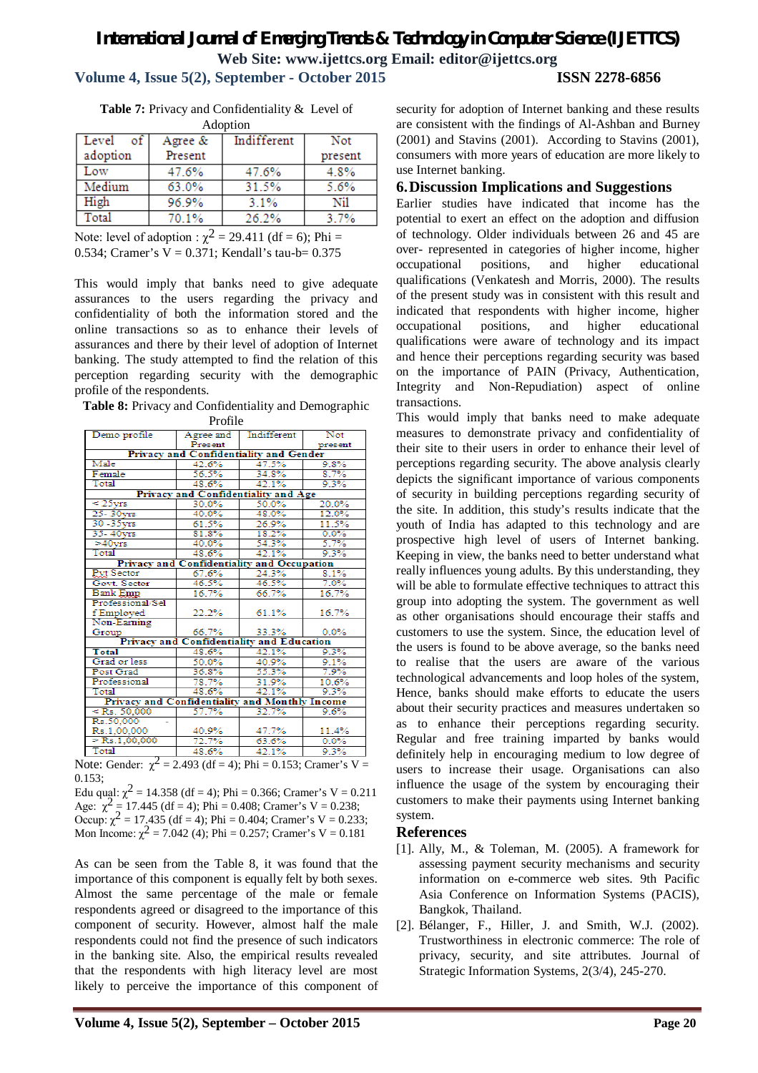# **Volume 4, Issue 5(2), September - October 2015 ISSN 2278-6856**

|  | <b>Table 7:</b> Privacy and Confidentiality & Level of |  |
|--|--------------------------------------------------------|--|
|  | A dontion                                              |  |

| Augund             |         |             |         |  |  |
|--------------------|---------|-------------|---------|--|--|
| $\circ$ f<br>Level | Agree & | Indifferent | Not     |  |  |
| adoption           | Present |             | present |  |  |
| Low                | 47.6%   | 47.6%       | 4.8%    |  |  |
| Medium             | 63.0%   | 31.5%       | 5.6%    |  |  |
| High               | 96.9%   | 3.1%        | Nil     |  |  |
| Total              | 70.1%   | 26.2%       | 3.7%    |  |  |
|                    |         |             |         |  |  |

Note: level of adoption :  $\chi^2$  = 29.411 (df = 6); Phi = 0.534; Cramer's  $V = 0.371$ ; Kendall's tau-b= 0.375

This would imply that banks need to give adequate assurances to the users regarding the privacy and confidentiality of both the information stored and the online transactions so as to enhance their levels of assurances and there by their level of adoption of Internet banking. The study attempted to find the relation of this perception regarding security with the demographic profile of the respondents.

**Table 8:** Privacy and Confidentiality and Demographic Profile

| Demo profile                                   | Agree and                                  | Indifferent | <b>Not</b> |  |  |  |
|------------------------------------------------|--------------------------------------------|-------------|------------|--|--|--|
|                                                | Present                                    |             | present    |  |  |  |
| <b>Privacy and Confidentiality and Gender</b>  |                                            |             |            |  |  |  |
| Male                                           | 42.6%                                      | 47.5%       | 9.8%       |  |  |  |
| Female                                         | 56.5%                                      | 34.8%       | 8.7%       |  |  |  |
| Total                                          | 48.6%                                      | 42.1%       | 9.3%       |  |  |  |
|                                                | Privacy and Confidentiality and Age        |             |            |  |  |  |
| $\leq 25$ vrs                                  | 30.0%                                      | 50.0%       | 20.0%      |  |  |  |
| $25 - 30$ vrs                                  | 40.0%                                      | 48.0%       | 12.0%      |  |  |  |
| $30 - 35$ vrs                                  | 61.5%                                      | 26.9%       | 11.5%      |  |  |  |
| $35 - 40$ vrs                                  | 81.8%                                      | 18.2%       | 0.0%       |  |  |  |
| $>40$ vrs                                      | 40.0%                                      | 54.3%       | 5.7%       |  |  |  |
| Total                                          | 48.6%                                      | 42.1%       | 9.3%       |  |  |  |
|                                                | Privacy and Confidentiality and Occupation |             |            |  |  |  |
| Pyt Sector                                     | 67.6%                                      | 24.3%       | 8.1%       |  |  |  |
| Govt. Sector                                   | 46.5%                                      | 46.5%       | 7.0%       |  |  |  |
| <b>Bank Emp</b>                                | 16.7%                                      | 66.7%       | 16.7%      |  |  |  |
| Professional/Sel                               |                                            |             |            |  |  |  |
| f Employed                                     | 22.2%                                      | 61.1%       | 16.7%      |  |  |  |
| Non-Earning                                    |                                            |             |            |  |  |  |
| Group                                          | 66.7%                                      | 33.3%       | 0.0%       |  |  |  |
|                                                | Privacy and Confidentiality and Education  |             |            |  |  |  |
| Total                                          | 48.6%                                      | 42.1%       | 9.3%       |  |  |  |
| Grad or less                                   | 50.0%                                      | 40.9%       | 9.1%       |  |  |  |
| Post Grad                                      | 36.8%                                      | 55.3%       | 7.9%       |  |  |  |
| Professional                                   | 78.7%                                      | 31.9%       | 10.6%      |  |  |  |
| Total                                          | 48.6%                                      | 42.1%       | 9.3%       |  |  |  |
| Privacy and Confidentiality and Monthly Income |                                            |             |            |  |  |  |
| $<$ Rs. 50.000                                 | 57.7%                                      | 32.7%       | 9.6%       |  |  |  |
| Rs.50.000                                      |                                            |             |            |  |  |  |
| Rs.1,00,000                                    | 40.9%                                      | 47.7%       | 11.4%      |  |  |  |
| $>$ Rs.1,00,000                                | 72.7%                                      | 63.6%       | 0.0%       |  |  |  |
| Total                                          | 48.6%                                      | 42.1%       | 9.3%       |  |  |  |
| $\overline{\phantom{a}}$                       |                                            |             |            |  |  |  |

Note: Gender:  $\chi^2$  = 2.493 (df = 4); Phi = 0.153; Cramer's V = 0.153;

Edu qual:  $\chi^2 = 14.358$  (df = 4); Phi = 0.366; Cramer's V = 0.211 Age:  $\chi^2 = 17.445$  (df = 4); Phi = 0.408; Cramer's V = 0.238; Occup:  $\chi^2 = 17.435$  (df = 4); Phi = 0.404; Cramer's V = 0.233; Mon Income:  $\chi^2$  = 7.042 (4); Phi = 0.257; Cramer's V = 0.181

As can be seen from the Table 8, it was found that the importance of this component is equally felt by both sexes. Almost the same percentage of the male or female respondents agreed or disagreed to the importance of this component of security. However, almost half the male respondents could not find the presence of such indicators in the banking site. Also, the empirical results revealed that the respondents with high literacy level are most likely to perceive the importance of this component of security for adoption of Internet banking and these results are consistent with the findings of Al-Ashban and Burney (2001) and Stavins (2001). According to Stavins (2001), consumers with more years of education are more likely to use Internet banking.

# **6.Discussion Implications and Suggestions**

Earlier studies have indicated that income has the potential to exert an effect on the adoption and diffusion of technology. Older individuals between 26 and 45 are over- represented in categories of higher income, higher occupational positions, and higher educational qualifications (Venkatesh and Morris, 2000). The results of the present study was in consistent with this result and indicated that respondents with higher income, higher occupational positions, and higher educational qualifications were aware of technology and its impact and hence their perceptions regarding security was based on the importance of PAIN (Privacy, Authentication, Integrity and Non-Repudiation) aspect of online transactions.

This would imply that banks need to make adequate measures to demonstrate privacy and confidentiality of their site to their users in order to enhance their level of perceptions regarding security. The above analysis clearly depicts the significant importance of various components of security in building perceptions regarding security of the site. In addition, this study's results indicate that the youth of India has adapted to this technology and are prospective high level of users of Internet banking. Keeping in view, the banks need to better understand what really influences young adults. By this understanding, they will be able to formulate effective techniques to attract this group into adopting the system. The government as well as other organisations should encourage their staffs and customers to use the system. Since, the education level of the users is found to be above average, so the banks need to realise that the users are aware of the various technological advancements and loop holes of the system, Hence, banks should make efforts to educate the users about their security practices and measures undertaken so as to enhance their perceptions regarding security. Regular and free training imparted by banks would definitely help in encouraging medium to low degree of users to increase their usage. Organisations can also influence the usage of the system by encouraging their customers to make their payments using Internet banking system.

# **References**

- [1]. Ally, M., & Toleman, M. (2005). A framework for assessing payment security mechanisms and security information on e-commerce web sites. 9th Pacific Asia Conference on Information Systems (PACIS), Bangkok, Thailand.
- [2]. Bélanger, F., Hiller, J. and Smith, W.J. (2002). Trustworthiness in electronic commerce: The role of privacy, security, and site attributes. Journal of Strategic Information Systems, 2(3/4), 245-270.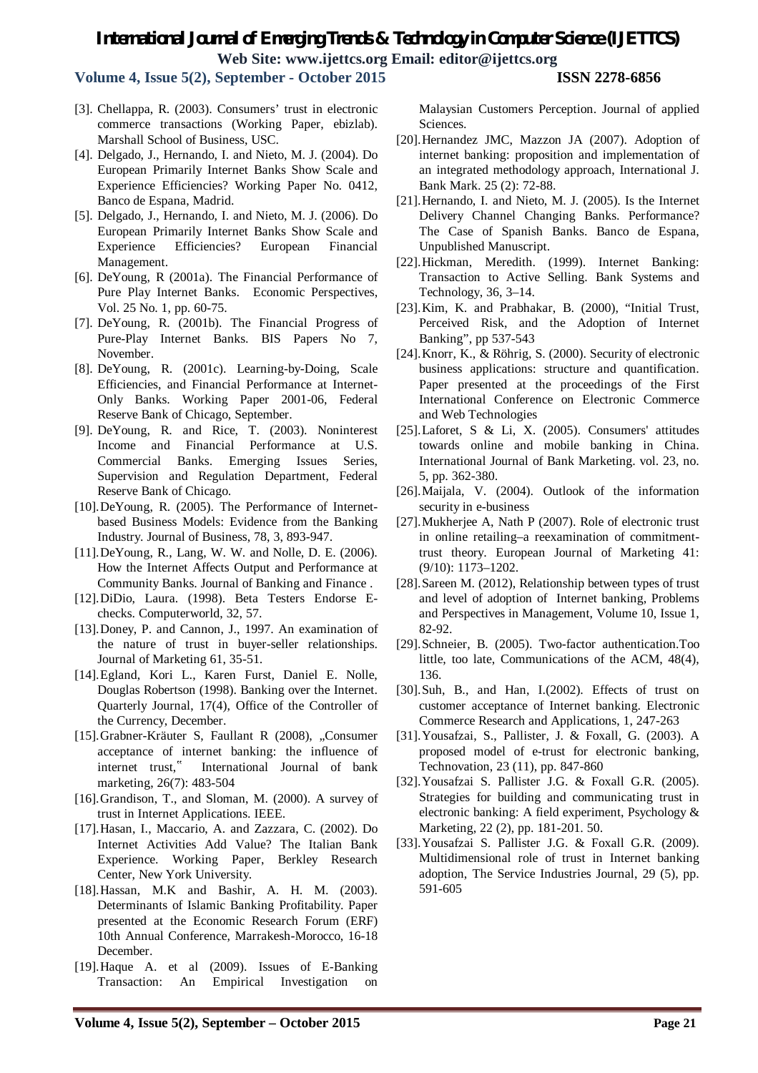**Volume 4, Issue 5(2), September - October 2015 ISSN 2278-6856**

- [3]. Chellappa, R. (2003). Consumers' trust in electronic commerce transactions (Working Paper, ebizlab). Marshall School of Business, USC.
- [4]. Delgado, J., Hernando, I. and Nieto, M. J. (2004). Do European Primarily Internet Banks Show Scale and Experience Efficiencies? Working Paper No. 0412, Banco de Espana, Madrid.
- [5]. Delgado, J., Hernando, I. and Nieto, M. J. (2006). Do European Primarily Internet Banks Show Scale and Experience Efficiencies? European Financial Management.
- [6]. DeYoung, R (2001a). The Financial Performance of Pure Play Internet Banks. Economic Perspectives, Vol. 25 No. 1, pp. 60-75.
- [7]. DeYoung, R. (2001b). The Financial Progress of Pure-Play Internet Banks. BIS Papers No 7, November.
- [8]. DeYoung, R. (2001c). Learning-by-Doing, Scale Efficiencies, and Financial Performance at Internet-Only Banks. Working Paper 2001-06, Federal Reserve Bank of Chicago, September.
- [9]. DeYoung, R. and Rice, T. (2003). Noninterest Income and Financial Performance at U.S. Commercial Banks. Emerging Issues Series, Supervision and Regulation Department, Federal Reserve Bank of Chicago.
- [10].DeYoung, R. (2005). The Performance of Internetbased Business Models: Evidence from the Banking Industry. Journal of Business, 78, 3, 893-947.
- [11].DeYoung, R., Lang, W. W. and Nolle, D. E. (2006). How the Internet Affects Output and Performance at Community Banks. Journal of Banking and Finance .
- [12].DiDio, Laura. (1998). Beta Testers Endorse Echecks. Computerworld, 32, 57.
- [13].Doney, P. and Cannon, J., 1997. An examination of the nature of trust in buyer-seller relationships. Journal of Marketing 61, 35-51.
- [14].Egland, Kori L., Karen Furst, Daniel E. Nolle, Douglas Robertson (1998). Banking over the Internet. Quarterly Journal, 17(4), Office of the Controller of the Currency, December.
- [15].Grabner-Kräuter S, Faullant R (2008), "Consumer acceptance of internet banking: the influence of internet trust," International Journal of bank marketing, 26(7): 483-504
- [16].Grandison, T., and Sloman, M. (2000). A survey of trust in Internet Applications. IEEE.
- [17].Hasan, I., Maccario, A. and Zazzara, C. (2002). Do Internet Activities Add Value? The Italian Bank Experience. Working Paper, Berkley Research Center, New York University.
- [18].Hassan, M.K and Bashir, A. H. M. (2003). Determinants of Islamic Banking Profitability. Paper presented at the Economic Research Forum (ERF) 10th Annual Conference, Marrakesh-Morocco, 16-18 December.
- [19].Haque A. et al (2009). Issues of E-Banking Transaction: An Empirical Investigation on

Malaysian Customers Perception. Journal of applied Sciences.

- [20].Hernandez JMC, Mazzon JA (2007). Adoption of internet banking: proposition and implementation of an integrated methodology approach, International J. Bank Mark. 25 (2): 72-88.
- [21].Hernando, I. and Nieto, M. J. (2005). Is the Internet Delivery Channel Changing Banks. Performance? The Case of Spanish Banks. Banco de Espana, Unpublished Manuscript.
- [22].Hickman, Meredith. (1999). Internet Banking: Transaction to Active Selling. Bank Systems and Technology, 36, 3–14.
- [23].Kim, K. and Prabhakar, B. (2000), "Initial Trust, Perceived Risk, and the Adoption of Internet Banking", pp 537-543
- [24].Knorr, K., & Röhrig, S. (2000). Security of electronic business applications: structure and quantification. Paper presented at the proceedings of the First International Conference on Electronic Commerce and Web Technologies
- [25].Laforet, S & Li, X. (2005). Consumers' attitudes towards online and mobile banking in China. International Journal of Bank Marketing. vol. 23, no. 5, pp. 362-380.
- [26].Maijala, V. (2004). Outlook of the information security in e-business
- [27].Mukherjee A, Nath P (2007). Role of electronic trust in online retailing–a reexamination of commitmenttrust theory. European Journal of Marketing 41: (9/10): 1173–1202.
- [28].Sareen M. (2012), Relationship between types of trust and level of adoption of Internet banking, Problems and Perspectives in Management, Volume 10, Issue 1, 82-92.
- [29].Schneier, B. (2005). Two-factor authentication.Too little, too late, Communications of the ACM, 48(4), 136.
- [30].Suh, B., and Han, I.(2002). Effects of trust on customer acceptance of Internet banking. Electronic Commerce Research and Applications, 1, 247-263
- [31].Yousafzai, S., Pallister, J. & Foxall, G. (2003). A proposed model of e-trust for electronic banking, Technovation, 23 (11), pp. 847-860
- [32].Yousafzai S. Pallister J.G. & Foxall G.R. (2005). Strategies for building and communicating trust in electronic banking: A field experiment, Psychology & Marketing, 22 (2), pp. 181-201. 50.
- [33].Yousafzai S. Pallister J.G. & Foxall G.R. (2009). Multidimensional role of trust in Internet banking adoption, The Service Industries Journal, 29 (5), pp. 591-605